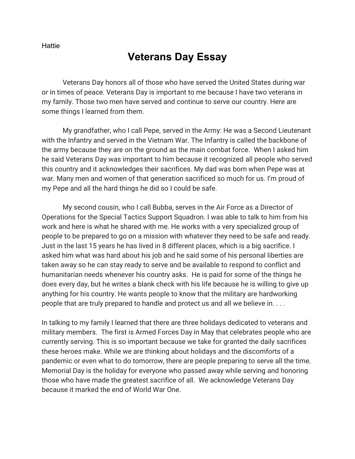**Hattie** 

## **Veterans Day Essay**

Veterans Day honors all of those who have served the United States during war or in times of peace. Veterans Day is important to me because I have two veterans in my family. Those two men have served and continue to serve our country. Here are some things I learned from them.

My grandfather, who I call Pepe, served in the Army: He was a Second Lieutenant with the Infantry and served in the Vietnam War. The Infantry is called the backbone of the army because they are on the ground as the main combat force. When I asked him he said Veterans Day was important to him because it recognized all people who served this country and it acknowledges their sacrifices. My dad was born when Pepe was at war. Many men and women of that generation sacrificed so much for us. I'm proud of my Pepe and all the hard things he did so I could be safe.

My second cousin, who I call Bubba, serves in the Air Force as a Director of Operations for the Special Tactics Support Squadron. I was able to talk to him from his work and here is what he shared with me. He works with a very specialized group of people to be prepared to go on a mission with whatever they need to be safe and ready. Just in the last 15 years he has lived in 8 different places, which is a big sacrifice. I asked him what was hard about his job and he said some of his personal liberties are taken away so he can stay ready to serve and be available to respond to conflict and humanitarian needs whenever his country asks. He is paid for some of the things he does every day, but he writes a blank check with his life because he is willing to give up anything for his country. He wants people to know that the military are hardworking people that are truly prepared to handle and protect us and all we believe in. . . .

In talking to my family I learned that there are three holidays dedicated to veterans and military members. The first is Armed Forces Day in May that celebrates people who are currently serving. This is so important because we take for granted the daily sacrifices these heroes make. While we are thinking about holidays and the discomforts of a pandemic or even what to do tomorrow, there are people preparing to serve all the time. Memorial Day is the holiday for everyone who passed away while serving and honoring those who have made the greatest sacrifice of all. We acknowledge Veterans Day because it marked the end of World War One.